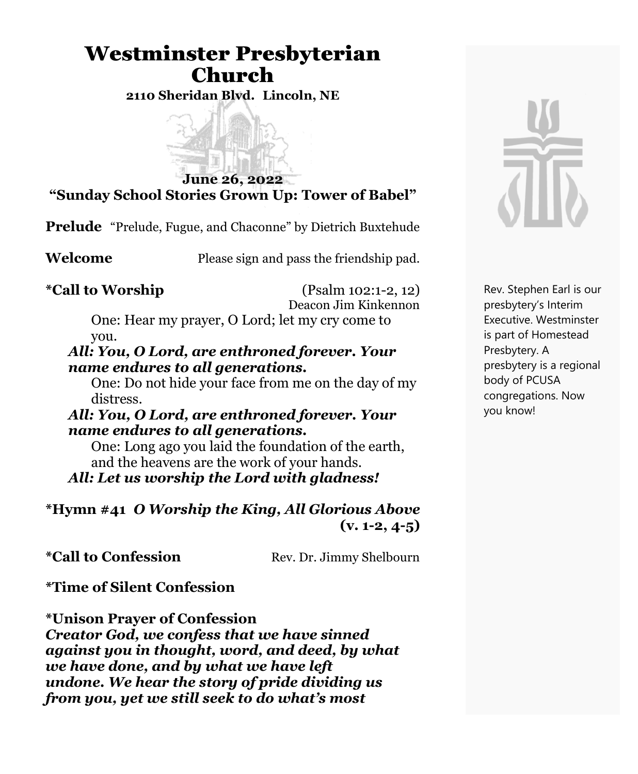## Westminster Presbyterian Church

**2110 Sheridan Blvd. Lincoln, NE**



**"Sunday School Stories Grown Up: Tower of Babel"**

**Prelude** "Prelude, Fugue, and Chaconne" by Dietrich Buxtehude

**Welcome** Please sign and pass the friendship pad.

**\*Call to Worship** (Psalm 102:1-2, 12) Deacon Jim Kinkennon

> One: Hear my prayer, O Lord; let my cry come to you.

#### *All: You, O Lord, are enthroned forever. Your name endures to all generations.*

One: Do not hide your face from me on the day of my distress.

#### *All: You, O Lord, are enthroned forever. Your name endures to all generations.*

One: Long ago you laid the foundation of the earth, and the heavens are the work of your hands.

*All: Let us worship the Lord with gladness!*

#### **\*Hymn #41** *O Worship the King, All Glorious Above* **(v. 1-2, 4-5)**

**\*Call to Confession** Rev. Dr. Jimmy Shelbourn

**\*Time of Silent Confession**

**\*Unison Prayer of Confession** *Creator God, we confess that we have sinned against you in thought, word, and deed, by what we have done, and by what we have left undone. We hear the story of pride dividing us from you, yet we still seek to do what's most*



Rev. Stephen Earl is our presbytery's Interim Executive. Westminster is part of Homestead Presbytery. A presbytery is a regional body of PCUSA congregations. Now you know!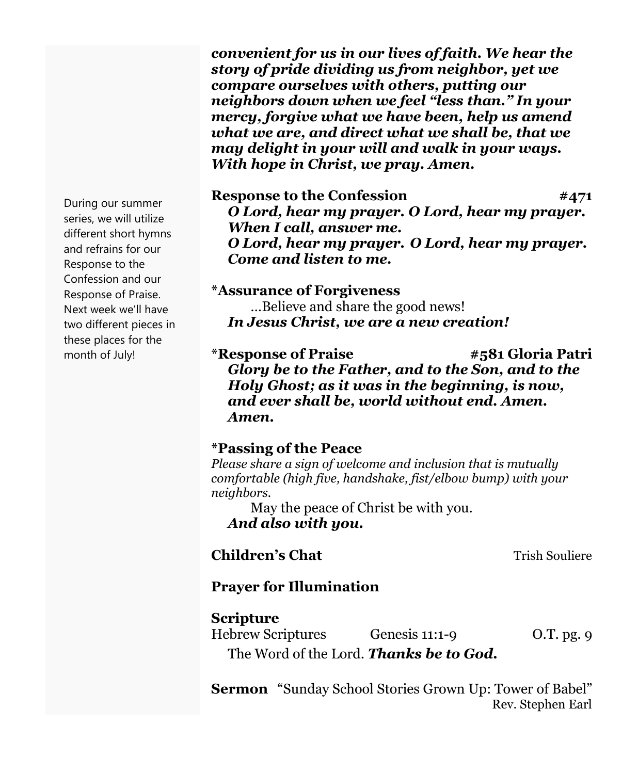*convenient for us in our lives of faith. We hear the story of pride dividing us from neighbor, yet we compare ourselves with others, putting our neighbors down when we feel "less than." In your mercy, forgive what we have been, help us amend what we are, and direct what we shall be, that we may delight in your will and walk in your ways. With hope in Christ, we pray. Amen.*

**Response to the Confession #471** *O Lord, hear my prayer. O Lord, hear my prayer. When I call, answer me. O Lord, hear my prayer. O Lord, hear my prayer. Come and listen to me.*

**\*Assurance of Forgiveness** …Believe and share the good news! *In Jesus Christ, we are a new creation!*

**\*Response of Praise #581 Gloria Patri** *Glory be to the Father, and to the Son, and to the Holy Ghost; as it was in the beginning, is now, and ever shall be, world without end. Amen. Amen.*

#### **\*Passing of the Peace**

*Please share a sign of welcome and inclusion that is mutually comfortable (high five, handshake, fist/elbow bump) with your neighbors.*

May the peace of Christ be with you. *And also with you.*

**Children's Chat** Trish Souliere

#### **Prayer for Illumination**

#### **Scripture**

Hebrew Scriptures Genesis 11:1-9 O.T. pg. 9 The Word of the Lord. *Thanks be to God.*

**Sermon** "Sunday School Stories Grown Up: Tower of Babel" Rev. Stephen Earl

During our summer series, we will utilize different short hymns and refrains for our Response to the Confession and our Response of Praise. Next week we'll have two different pieces in these places for the month of July!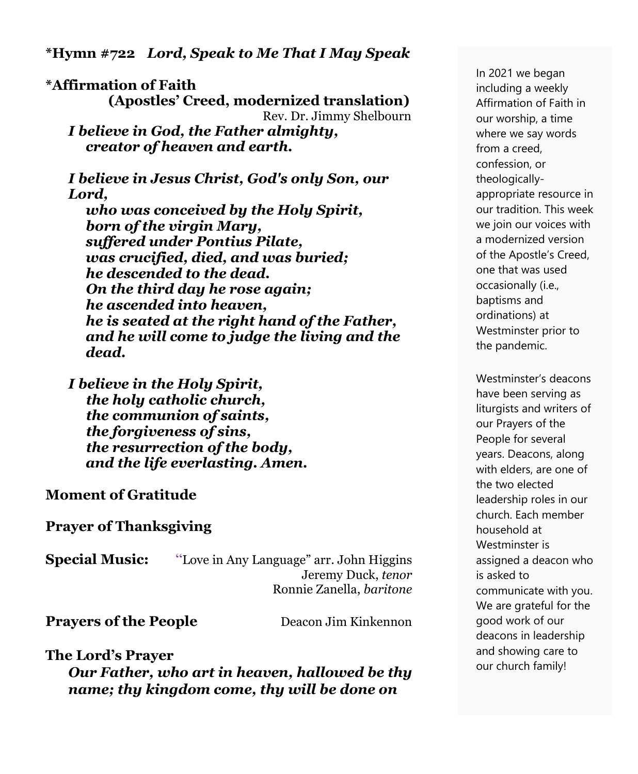**\*Hymn #722** *Lord, Speak to Me That I May Speak* 

**\*Affirmation of Faith (Apostles' Creed, modernized translation)** Rev. Dr. Jimmy Shelbourn *I believe in God, the Father almighty, creator of heaven and earth.*

*I believe in Jesus Christ, God's only Son, our Lord, who was conceived by the Holy Spirit,*

 *born of the virgin Mary, suffered under Pontius Pilate, was crucified, died, and was buried; he descended to the dead. On the third day he rose again; he ascended into heaven, he is seated at the right hand of the Father, and he will come to judge the living and the dead.*

*I believe in the Holy Spirit, the holy catholic church, the communion of saints, the forgiveness of sins, the resurrection of the body, and the life everlasting. Amen.*

#### **Moment of Gratitude**

**Prayer of Thanksgiving**

**Special Music:** "Love in Any Language" arr. John Higgins Jeremy Duck, *tenor* Ronnie Zanella, *baritone*

**Prayers of the People** Deacon Jim Kinkennon

#### **The Lord's Prayer**

*Our Father, who art in heaven, hallowed be thy name; thy kingdom come, thy will be done on*

In 2021 we began including a weekly Affirmation of Faith in our worship, a time where we say words from a creed, confession, or theologicallyappropriate resource in our tradition. This week we join our voices with a modernized version of the Apostle's Creed, one that was used occasionally (i.e., baptisms and ordinations) at Westminster prior to the pandemic.

Westminster's deacons have been serving as liturgists and writers of our Prayers of the People for several years. Deacons, along with elders, are one of the two elected leadership roles in our church. Each member household at Westminster is assigned a deacon who is asked to communicate with you. We are grateful for the good work of our deacons in leadership and showing care to our church family!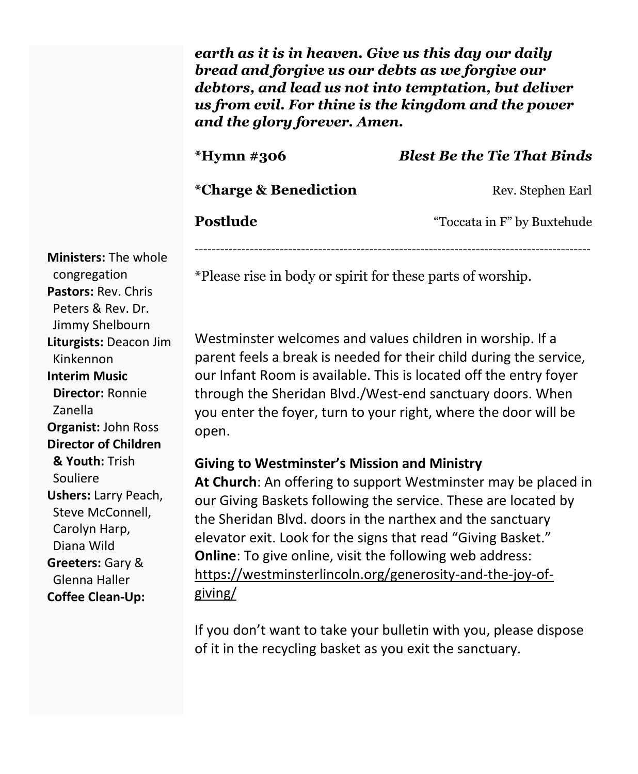*earth as it is in heaven. Give us this day our daily bread and forgive us our debts as we forgive our debtors, and lead us not into temptation, but deliver us from evil. For thine is the kingdom and the power and the glory forever. Amen.*

# **\*Hymn #306** *Blest Be the Tie That Binds* **\*Charge & Benediction** Rev. Stephen Earl

**Postlude** "Toccata in F" by Buxtehude

---------------------------------------------------------------------------------------------

\*Please rise in body or spirit for these parts of worship.

Westminster welcomes and values children in worship. If a parent feels a break is needed for their child during the service, our Infant Room is available. This is located off the entry foyer through the Sheridan Blvd./West-end sanctuary doors. When you enter the foyer, turn to your right, where the door will be open.

#### **Giving to Westminster's Mission and Ministry**

**At Church**: An offering to support Westminster may be placed in our Giving Baskets following the service. These are located by the Sheridan Blvd. doors in the narthex and the sanctuary elevator exit. Look for the signs that read "Giving Basket." **Online**: To give online, visit the following web address: [https://westminsterlincoln.org/generosity-and-the-joy-of](https://westminsterlincoln.org/generosity-and-the-joy-of-giving/)[giving/](https://westminsterlincoln.org/generosity-and-the-joy-of-giving/)

If you don't want to take your bulletin with you, please dispose of it in the recycling basket as you exit the sanctuary.

**Ministers:** The whole congregation **Pastors:** Rev. Chris Peters & Rev. Dr. Jimmy Shelbourn **Liturgists:** Deacon Jim Kinkennon **Interim Music Director:** Ronnie Zanella **Organist:** John Ross **Director of Children & Youth:** Trish Souliere **Ushers:** Larry Peach, Steve McConnell, Carolyn Harp, Diana Wild **Greeters:** Gary & Glenna Haller **Coffee Clean-Up:**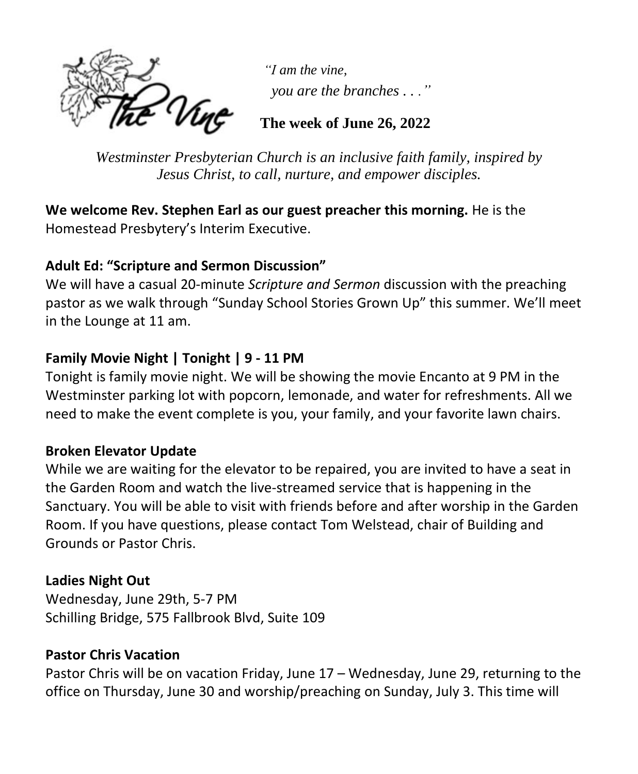

*"I am the vine, you are the branches . . ."*

**The week of June 26, 2022**

*Westminster Presbyterian Church is an inclusive faith family, inspired by Jesus Christ, to call, nurture, and empower disciples.*

**We welcome Rev. Stephen Earl as our guest preacher this morning.** He is the Homestead Presbytery's Interim Executive.

#### **Adult Ed: "Scripture and Sermon Discussion"**

We will have a casual 20-minute *Scripture and Sermon* discussion with the preaching pastor as we walk through "Sunday School Stories Grown Up" this summer. We'll meet in the Lounge at 11 am.

#### **Family Movie Night | Tonight | 9 - 11 PM**

Tonight is family movie night. We will be showing the movie Encanto at 9 PM in the Westminster parking lot with popcorn, lemonade, and water for refreshments. All we need to make the event complete is you, your family, and your favorite lawn chairs.

#### **Broken Elevator Update**

While we are waiting for the elevator to be repaired, you are invited to have a seat in the Garden Room and watch the live-streamed service that is happening in the Sanctuary. You will be able to visit with friends before and after worship in the Garden Room. If you have questions, please contact Tom Welstead, chair of Building and Grounds or Pastor Chris.

#### **Ladies Night Out**

Wednesday, June 29th, 5-7 PM Schilling Bridge, 575 Fallbrook Blvd, Suite 109

#### **Pastor Chris Vacation**

Pastor Chris will be on vacation Friday, June 17 – Wednesday, June 29, returning to the office on Thursday, June 30 and worship/preaching on Sunday, July 3. This time will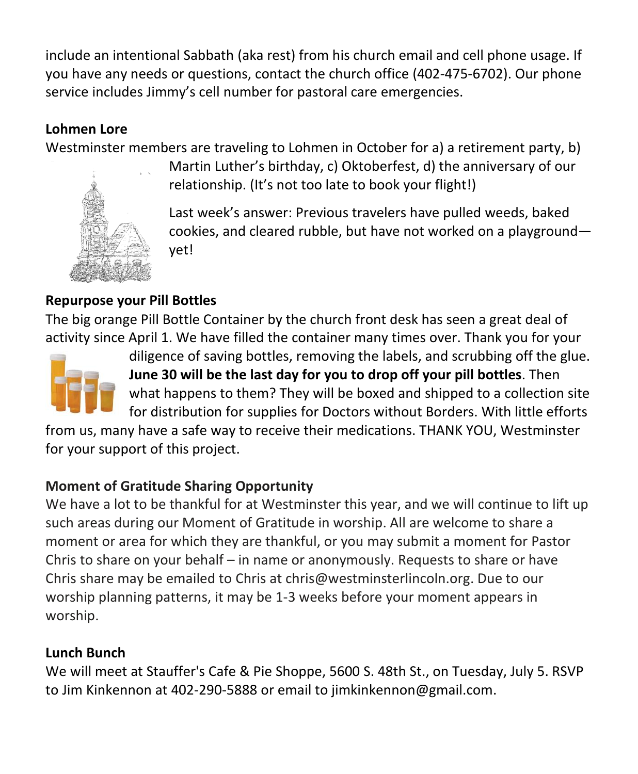include an intentional Sabbath (aka rest) from his church email and cell phone usage. If you have any needs or questions, contact the church office (402-475-6702). Our phone service includes Jimmy's cell number for pastoral care emergencies.

### **Lohmen Lore**

Westminster members are traveling to Lohmen in October for a) a retirement party, b)



Martin Luther's birthday, c) Oktoberfest, d) the anniversary of our relationship. (It's not too late to book your flight!)

Last week's answer: Previous travelers have pulled weeds, baked cookies, and cleared rubble, but have not worked on a playground yet!

#### **Repurpose your Pill Bottles**

The big orange Pill Bottle Container by the church front desk has seen a great deal of activity since April 1. We have filled the container many times over. Thank you for your



diligence of saving bottles, removing the labels, and scrubbing off the glue. **June 30 will be the last day for you to drop off your pill bottles**. Then what happens to them? They will be boxed and shipped to a collection site for distribution for supplies for Doctors without Borders. With little efforts

from us, many have a safe way to receive their medications. THANK YOU, Westminster for your support of this project.

#### **Moment of Gratitude Sharing Opportunity**

We have a lot to be thankful for at Westminster this year, and we will continue to lift up such areas during our Moment of Gratitude in worship. All are welcome to share a moment or area for which they are thankful, or you may submit a moment for Pastor Chris to share on your behalf – in name or anonymously. Requests to share or have Chris share may be emailed to Chris at [chris@westminsterlincoln.org.](mailto:chris@westminsterlincoln.org) Due to our worship planning patterns, it may be 1-3 weeks before your moment appears in worship.

#### **Lunch Bunch**

We will meet at Stauffer's Cafe & Pie Shoppe, 5600 S. 48th St., on Tuesday, July 5. RSVP to Jim Kinkennon at 402-290-5888 or email to [jimkinkennon@gmail.com.](mailto:jimkinkennon@gmail.com)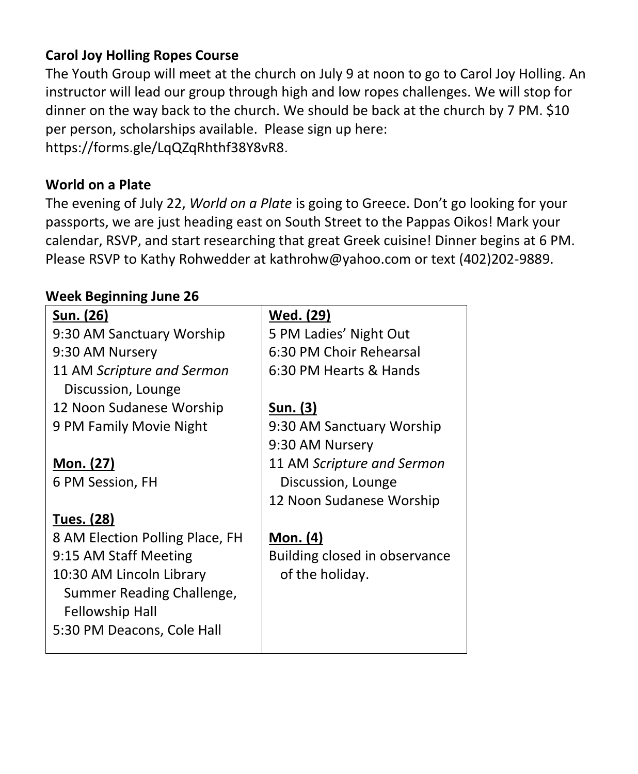#### **Carol Joy Holling Ropes Course**

The Youth Group will meet at the church on July 9 at noon to go to Carol Joy Holling. An instructor will lead our group through high and low ropes challenges. We will stop for dinner on the way back to the church. We should be back at the church by 7 PM. \$10 per person, scholarships available. Please sign up here: [https://forms.gle/LqQZqRhthf38Y8vR8.](https://forms.gle/LqQZqRhthf38Y8vR8)

#### **World on a Plate**

The evening of July 22, *World on a Plate* is going to Greece. Don't go looking for your passports, we are just heading east on South Street to the Pappas Oikos! Mark your calendar, RSVP, and start researching that great Greek cuisine! Dinner begins at 6 PM. Please RSVP to Kathy Rohwedder at [kathrohw@yahoo.com](mailto:kathrohw@yahoo.com) or text (402)202-9889.

#### **Week Beginning June 26**

| Sun. (26)                                        | Wed. (29)                     |
|--------------------------------------------------|-------------------------------|
| 9:30 AM Sanctuary Worship                        | 5 PM Ladies' Night Out        |
| 9:30 AM Nursery                                  | 6:30 PM Choir Rehearsal       |
| 11 AM Scripture and Sermon<br>Discussion, Lounge | 6:30 PM Hearts & Hands        |
| 12 Noon Sudanese Worship                         | <u>Sun. (3)</u>               |
| 9 PM Family Movie Night                          | 9:30 AM Sanctuary Worship     |
|                                                  | 9:30 AM Nursery               |
| Mon. (27)                                        | 11 AM Scripture and Sermon    |
| 6 PM Session, FH                                 | Discussion, Lounge            |
|                                                  | 12 Noon Sudanese Worship      |
| <b>Tues. (28)</b>                                |                               |
| 8 AM Election Polling Place, FH                  | Mon. (4)                      |
| 9:15 AM Staff Meeting                            | Building closed in observance |
| 10:30 AM Lincoln Library                         | of the holiday.               |
| Summer Reading Challenge,                        |                               |
| Fellowship Hall                                  |                               |
| 5:30 PM Deacons, Cole Hall                       |                               |
|                                                  |                               |